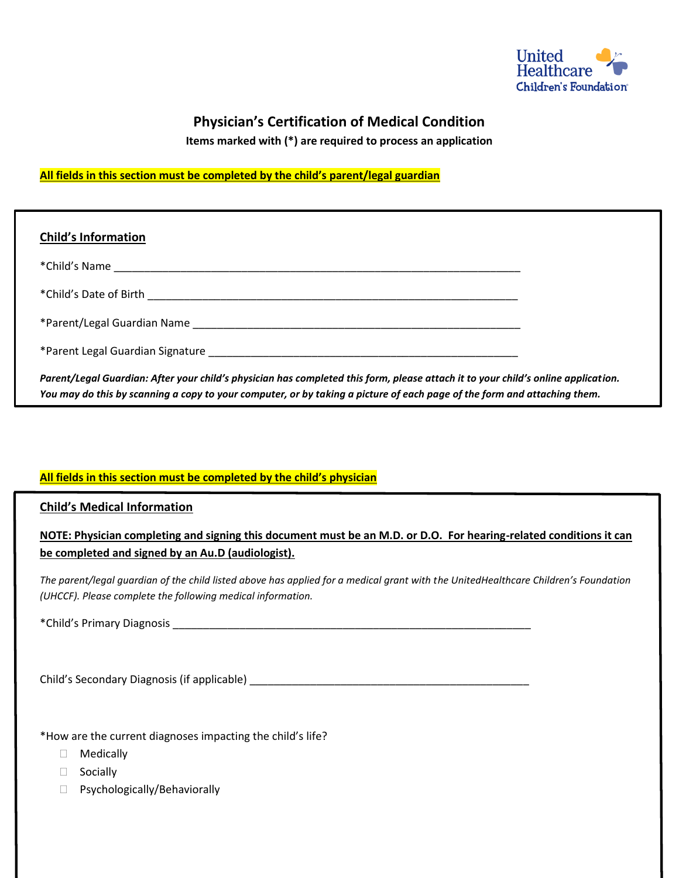

## **Physician's Certification of Medical Condition**

**Items marked with (\*) are required to process an application**

## **All fields in this section must be completed by the child's parent/legal guardian**

| <b>Child's Information</b>                                                                                                                                                                                                                                    |  |
|---------------------------------------------------------------------------------------------------------------------------------------------------------------------------------------------------------------------------------------------------------------|--|
| *Child's Name                                                                                                                                                                                                                                                 |  |
|                                                                                                                                                                                                                                                               |  |
|                                                                                                                                                                                                                                                               |  |
|                                                                                                                                                                                                                                                               |  |
| Parent/Legal Guardian: After your child's physician has completed this form, please attach it to your child's online application.<br>You may do this by scanning a copy to your computer, or by taking a picture of each page of the form and attaching them. |  |

## **All fields in this section must be completed by the child's physician**

**Child's Medical Information**

**NOTE: Physician completing and signing this document must be an M.D. or D.O. For hearing-related conditions it can be completed and signed by an Au.D (audiologist).**

*The parent/legal guardian of the child listed above has applied for a medical grant with the UnitedHealthcare Children's Foundation (UHCCF). Please complete the following medical information.*

\*Child's Primary Diagnosis \_\_\_\_\_\_\_\_\_\_\_\_\_\_\_\_\_\_\_\_\_\_\_\_\_\_\_\_\_\_\_\_\_\_\_\_\_\_\_\_\_\_\_\_\_\_\_\_\_\_\_\_\_\_\_\_\_\_\_

Child's Secondary Diagnosis (if applicable) \_\_\_\_\_\_\_\_\_\_\_\_\_\_\_\_\_\_\_\_\_\_\_\_\_\_\_\_\_\_\_\_\_\_\_\_\_\_\_\_\_\_\_\_\_\_

\*How are the current diagnoses impacting the child's life?

- Medically
- □ Socially
- □ Psychologically/Behaviorally